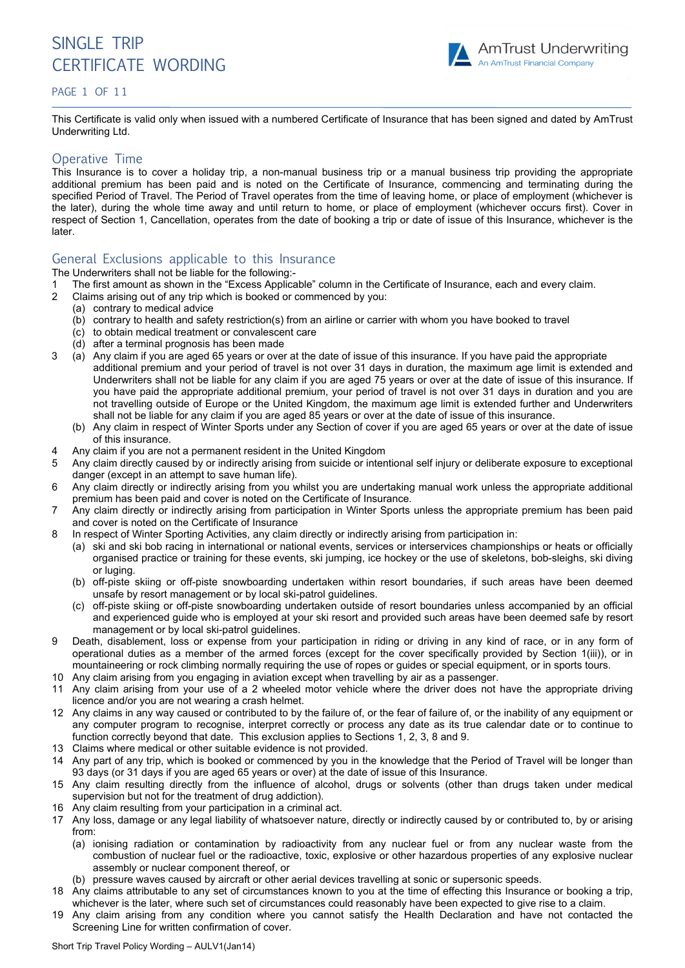

#### PAGE 1 OF 11

This Certificate is valid only when issued with a numbered Certificate of Insurance that has been signed and dated by AmTrust Underwriting Ltd.

#### Operative Time

This Insurance is to cover a holiday trip, a non-manual business trip or a manual business trip providing the appropriate additional premium has been paid and is noted on the Certificate of Insurance, commencing and terminating during the specified Period of Travel. The Period of Travel operates from the time of leaving home, or place of employment (whichever is the later), during the whole time away and until return to home, or place of employment (whichever occurs first). Cover in respect of Section 1, Cancellation, operates from the date of booking a trip or date of issue of this Insurance, whichever is the later.

#### General Exclusions applicable to this Insurance

The Underwriters shall not be liable for the following:-

- 1 The first amount as shown in the "Excess Applicable" column in the Certificate of Insurance, each and every claim.
- 2 Claims arising out of any trip which is booked or commenced by you:
	- (a) contrary to medical advice
	- (b) contrary to health and safety restriction(s) from an airline or carrier with whom you have booked to travel
	- (c) to obtain medical treatment or convalescent care
	- (d) after a terminal prognosis has been made
- 3 (a) Any claim if you are aged 65 years or over at the date of issue of this insurance. If you have paid the appropriate additional premium and your period of travel is not over 31 days in duration, the maximum age limit is extended and Underwriters shall not be liable for any claim if you are aged 75 years or over at the date of issue of this insurance. If you have paid the appropriate additional premium, your period of travel is not over 31 days in duration and you are not travelling outside of Europe or the United Kingdom, the maximum age limit is extended further and Underwriters shall not be liable for any claim if you are aged 85 years or over at the date of issue of this insurance.
	- (b) Any claim in respect of Winter Sports under any Section of cover if you are aged 65 years or over at the date of issue of this insurance.
- 4 Any claim if you are not a permanent resident in the United Kingdom
- 5 Any claim directly caused by or indirectly arising from suicide or intentional self injury or deliberate exposure to exceptional danger (except in an attempt to save human life).
- 6 Any claim directly or indirectly arising from you whilst you are undertaking manual work unless the appropriate additional premium has been paid and cover is noted on the Certificate of Insurance.
- 7 Any claim directly or indirectly arising from participation in Winter Sports unless the appropriate premium has been paid and cover is noted on the Certificate of Insurance
- 8 In respect of Winter Sporting Activities, any claim directly or indirectly arising from participation in:
	- (a) ski and ski bob racing in international or national events, services or interservices championships or heats or officially organised practice or training for these events, ski jumping, ice hockey or the use of skeletons, bob-sleighs, ski diving or luging.
	- (b) off-piste skiing or off-piste snowboarding undertaken within resort boundaries, if such areas have been deemed unsafe by resort management or by local ski-patrol guidelines.
	- (c) off-piste skiing or off-piste snowboarding undertaken outside of resort boundaries unless accompanied by an official and experienced guide who is employed at your ski resort and provided such areas have been deemed safe by resort management or by local ski-patrol guidelines.
- 9 Death, disablement, loss or expense from your participation in riding or driving in any kind of race, or in any form of operational duties as a member of the armed forces (except for the cover specifically provided by Section 1(iii)), or in mountaineering or rock climbing normally requiring the use of ropes or guides or special equipment, or in sports tours.
- 10 Any claim arising from you engaging in aviation except when travelling by air as a passenger.
- 11 Any claim arising from your use of a 2 wheeled motor vehicle where the driver does not have the appropriate driving licence and/or you are not wearing a crash helmet.
- 12 Any claims in any way caused or contributed to by the failure of, or the fear of failure of, or the inability of any equipment or any computer program to recognise, interpret correctly or process any date as its true calendar date or to continue to function correctly beyond that date. This exclusion applies to Sections 1, 2, 3, 8 and 9.
- 13 Claims where medical or other suitable evidence is not provided.
- 14 Any part of any trip, which is booked or commenced by you in the knowledge that the Period of Travel will be longer than 93 days (or 31 days if you are aged 65 years or over) at the date of issue of this Insurance.
- 15 Any claim resulting directly from the influence of alcohol, drugs or solvents (other than drugs taken under medical supervision but not for the treatment of drug addiction).
- 16 Any claim resulting from your participation in a criminal act.
- 17 Any loss, damage or any legal liability of whatsoever nature, directly or indirectly caused by or contributed to, by or arising from:
	- (a) ionising radiation or contamination by radioactivity from any nuclear fuel or from any nuclear waste from the combustion of nuclear fuel or the radioactive, toxic, explosive or other hazardous properties of any explosive nuclear assembly or nuclear component thereof, or
	- (b) pressure waves caused by aircraft or other aerial devices travelling at sonic or supersonic speeds.
- 18 Any claims attributable to any set of circumstances known to you at the time of effecting this Insurance or booking a trip, whichever is the later, where such set of circumstances could reasonably have been expected to give rise to a claim.
- 19 Any claim arising from any condition where you cannot satisfy the Health Declaration and have not contacted the Screening Line for written confirmation of cover.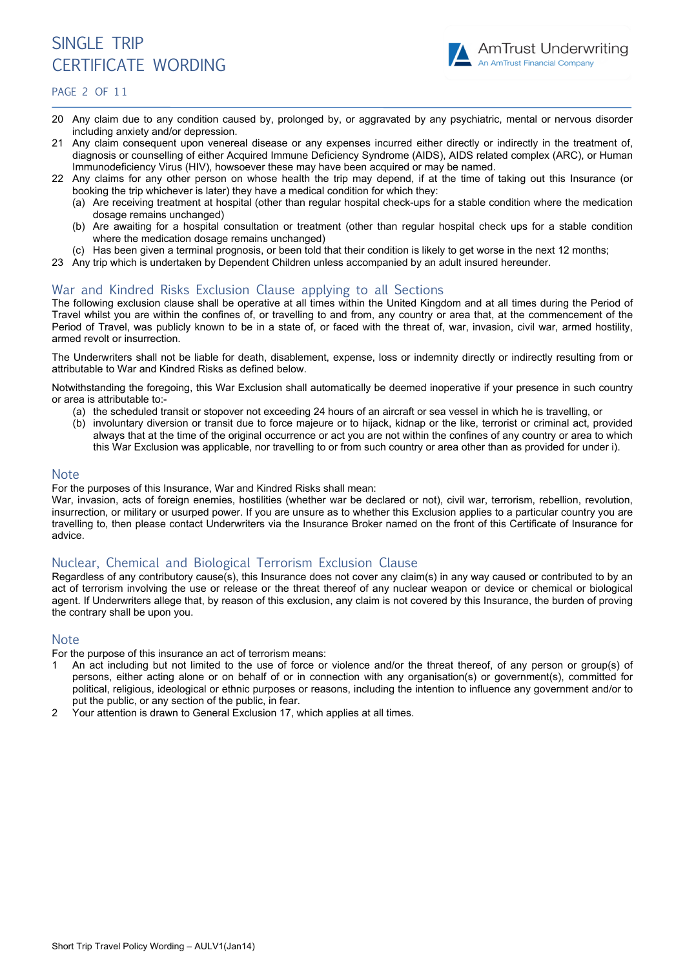

PAGE 2 OF 11

- 20 Any claim due to any condition caused by, prolonged by, or aggravated by any psychiatric, mental or nervous disorder including anxiety and/or depression.
- 21 Any claim consequent upon venereal disease or any expenses incurred either directly or indirectly in the treatment of, diagnosis or counselling of either Acquired Immune Deficiency Syndrome (AIDS), AIDS related complex (ARC), or Human Immunodeficiency Virus (HIV), howsoever these may have been acquired or may be named.
- 22 Any claims for any other person on whose health the trip may depend, if at the time of taking out this Insurance (or booking the trip whichever is later) they have a medical condition for which they:
	- (a) Are receiving treatment at hospital (other than regular hospital check-ups for a stable condition where the medication dosage remains unchanged)
	- (b) Are awaiting for a hospital consultation or treatment (other than regular hospital check ups for a stable condition where the medication dosage remains unchanged)
	- (c) Has been given a terminal prognosis, or been told that their condition is likely to get worse in the next 12 months;
- 23 Any trip which is undertaken by Dependent Children unless accompanied by an adult insured hereunder.

# War and Kindred Risks Exclusion Clause applying to all Sections

The following exclusion clause shall be operative at all times within the United Kingdom and at all times during the Period of Travel whilst you are within the confines of, or travelling to and from, any country or area that, at the commencement of the Period of Travel, was publicly known to be in a state of, or faced with the threat of, war, invasion, civil war, armed hostility, armed revolt or insurrection.

The Underwriters shall not be liable for death, disablement, expense, loss or indemnity directly or indirectly resulting from or attributable to War and Kindred Risks as defined below.

Notwithstanding the foregoing, this War Exclusion shall automatically be deemed inoperative if your presence in such country or area is attributable to:-

- (a) the scheduled transit or stopover not exceeding 24 hours of an aircraft or sea vessel in which he is travelling, or
- (b) involuntary diversion or transit due to force majeure or to hijack, kidnap or the like, terrorist or criminal act, provided always that at the time of the original occurrence or act you are not within the confines of any country or area to which this War Exclusion was applicable, nor travelling to or from such country or area other than as provided for under i).

#### **Note**

For the purposes of this Insurance, War and Kindred Risks shall mean:

War, invasion, acts of foreign enemies, hostilities (whether war be declared or not), civil war, terrorism, rebellion, revolution, insurrection, or military or usurped power. If you are unsure as to whether this Exclusion applies to a particular country you are travelling to, then please contact Underwriters via the Insurance Broker named on the front of this Certificate of Insurance for advice.

# Nuclear, Chemical and Biological Terrorism Exclusion Clause

Regardless of any contributory cause(s), this Insurance does not cover any claim(s) in any way caused or contributed to by an act of terrorism involving the use or release or the threat thereof of any nuclear weapon or device or chemical or biological agent. If Underwriters allege that, by reason of this exclusion, any claim is not covered by this Insurance, the burden of proving the contrary shall be upon you.

# Note

For the purpose of this insurance an act of terrorism means:

- 1 An act including but not limited to the use of force or violence and/or the threat thereof, of any person or group(s) of persons, either acting alone or on behalf of or in connection with any organisation(s) or government(s), committed for political, religious, ideological or ethnic purposes or reasons, including the intention to influence any government and/or to put the public, or any section of the public, in fear.
- 2 Your attention is drawn to General Exclusion 17, which applies at all times.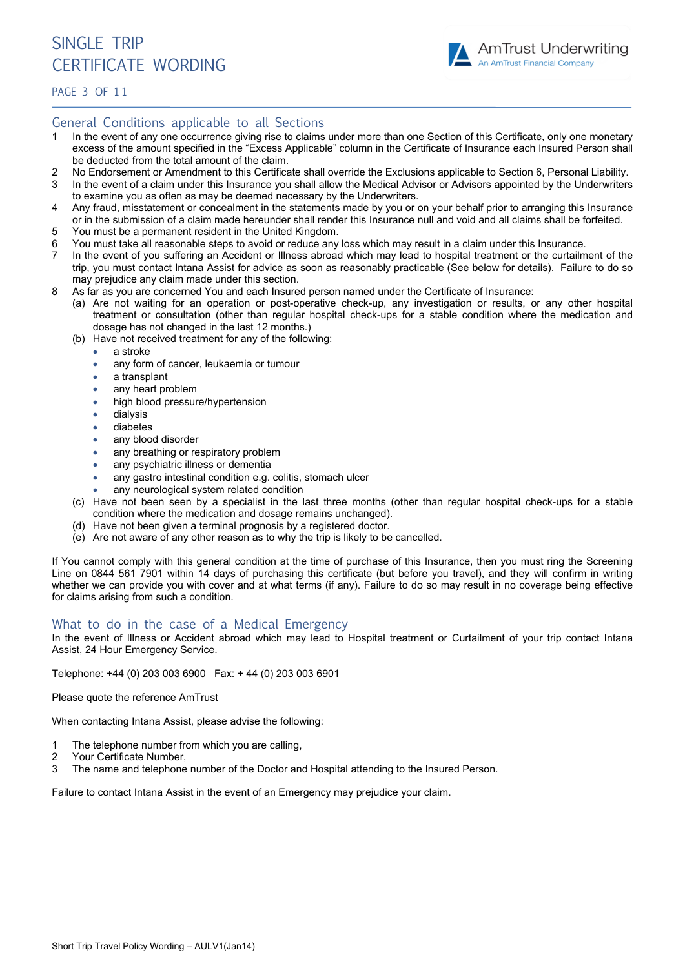

PAGE 3 OF 11

# General Conditions applicable to all Sections

- 1 In the event of any one occurrence giving rise to claims under more than one Section of this Certificate, only one monetary excess of the amount specified in the "Excess Applicable" column in the Certificate of Insurance each Insured Person shall be deducted from the total amount of the claim.
- 2 No Endorsement or Amendment to this Certificate shall override the Exclusions applicable to Section 6, Personal Liability.
- 3 In the event of a claim under this Insurance you shall allow the Medical Advisor or Advisors appointed by the Underwriters to examine you as often as may be deemed necessary by the Underwriters.
- 4 Any fraud, misstatement or concealment in the statements made by you or on your behalf prior to arranging this Insurance or in the submission of a claim made hereunder shall render this Insurance null and void and all claims shall be forfeited.
- 5 You must be a permanent resident in the United Kingdom.
- 6 You must take all reasonable steps to avoid or reduce any loss which may result in a claim under this Insurance.
- 7 In the event of you suffering an Accident or Illness abroad which may lead to hospital treatment or the curtailment of the trip, you must contact Intana Assist for advice as soon as reasonably practicable (See below for details). Failure to do so may prejudice any claim made under this section.
- 8 As far as you are concerned You and each Insured person named under the Certificate of Insurance:
	- (a) Are not waiting for an operation or post-operative check-up, any investigation or results, or any other hospital treatment or consultation (other than regular hospital check-ups for a stable condition where the medication and dosage has not changed in the last 12 months.)
	- (b) Have not received treatment for any of the following:
		- a stroke
		- any form of cancer, leukaemia or tumour
		- a transplant
		- any heart problem
		- high blood pressure/hypertension
		- dialysis
		- diabetes
		- any blood disorder
		- any breathing or respiratory problem
		- any psychiatric illness or dementia
		- any gastro intestinal condition e.g. colitis, stomach ulcer
		- any neurological system related condition
	- (c) Have not been seen by a specialist in the last three months (other than regular hospital check-ups for a stable condition where the medication and dosage remains unchanged).
	- (d) Have not been given a terminal prognosis by a registered doctor.
	- (e) Are not aware of any other reason as to why the trip is likely to be cancelled.

If You cannot comply with this general condition at the time of purchase of this Insurance, then you must ring the Screening Line on 0844 561 7901 within 14 days of purchasing this certificate (but before you travel), and they will confirm in writing whether we can provide you with cover and at what terms (if any). Failure to do so may result in no coverage being effective for claims arising from such a condition.

# What to do in the case of a Medical Emergency

In the event of Illness or Accident abroad which may lead to Hospital treatment or Curtailment of your trip contact Intana Assist, 24 Hour Emergency Service.

Telephone: +44 (0) 203 003 6900 Fax: + 44 (0) 203 003 6901

Please quote the reference AmTrust

When contacting Intana Assist, please advise the following:

- 1 The telephone number from which you are calling,
- 2 Your Certificate Number,
- 3 The name and telephone number of the Doctor and Hospital attending to the Insured Person.

Failure to contact Intana Assist in the event of an Emergency may prejudice your claim.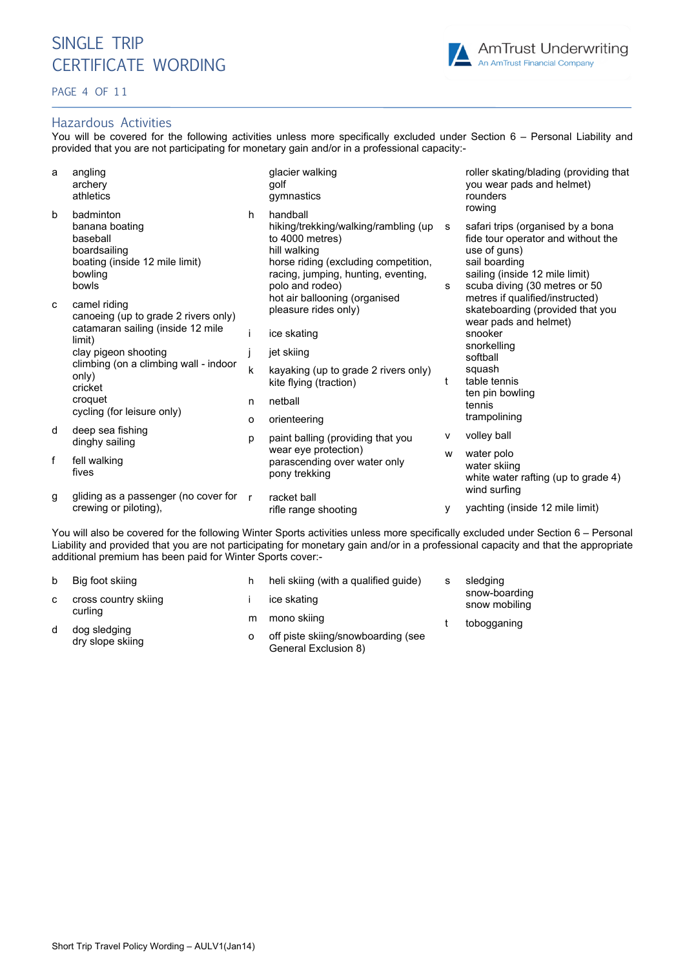#### PAGE 4 OF 11

# Hazardous Activities

You will be covered for the following activities unless more specifically excluded under Section 6 – Personal Liability and provided that you are not participating for monetary gain and/or in a professional capacity:-

| a | angling<br>archery<br>athletics                                                                                                                                                                                                   |              | glacier walking<br>golf<br>gymnastics                                                                                                                                                 |        | roller skating/blading (providing that<br>you wear pads and helmet)<br>rounders<br>rowing                                                                                   |  |
|---|-----------------------------------------------------------------------------------------------------------------------------------------------------------------------------------------------------------------------------------|--------------|---------------------------------------------------------------------------------------------------------------------------------------------------------------------------------------|--------|-----------------------------------------------------------------------------------------------------------------------------------------------------------------------------|--|
| b | badminton<br>banana boating<br>baseball<br>boardsailing<br>boating (inside 12 mile limit)<br>bowling<br>bowls                                                                                                                     | h            | handball<br>hiking/trekking/walking/rambling (up<br>to 4000 metres)<br>hill walking<br>horse riding (excluding competition,<br>racing, jumping, hunting, eventing,<br>polo and rodeo) | s<br>s | safari trips (organised by a bona<br>fide tour operator and without the<br>use of guns)<br>sail boarding<br>sailing (inside 12 mile limit)<br>scuba diving (30 metres or 50 |  |
| C | camel riding<br>canoeing (up to grade 2 rivers only)<br>catamaran sailing (inside 12 mile<br>limit)<br>clay pigeon shooting<br>climbing (on a climbing wall - indoor<br>only)<br>cricket<br>croquet<br>cycling (for leisure only) |              | hot air ballooning (organised<br>pleasure rides only)                                                                                                                                 |        | metres if qualified/instructed)<br>skateboarding (provided that you<br>wear pads and helmet)                                                                                |  |
|   |                                                                                                                                                                                                                                   |              | ice skating                                                                                                                                                                           |        | snooker<br>snorkelling<br>softball<br>squash<br>table tennis                                                                                                                |  |
|   |                                                                                                                                                                                                                                   |              | jet skiing                                                                                                                                                                            |        |                                                                                                                                                                             |  |
|   |                                                                                                                                                                                                                                   | k            | kayaking (up to grade 2 rivers only)<br>kite flying (traction)                                                                                                                        | t      |                                                                                                                                                                             |  |
|   |                                                                                                                                                                                                                                   | n            | netball<br>orienteering                                                                                                                                                               |        | ten pin bowling<br>tennis                                                                                                                                                   |  |
|   |                                                                                                                                                                                                                                   | o            |                                                                                                                                                                                       |        | trampolining                                                                                                                                                                |  |
| d | deep sea fishing<br>dinghy sailing                                                                                                                                                                                                | p            | paint balling (providing that you                                                                                                                                                     | v      | volley ball                                                                                                                                                                 |  |
| f | fell walking<br>fives                                                                                                                                                                                                             |              | wear eye protection)<br>parascending over water only<br>pony trekking                                                                                                                 | W      | water polo<br>water skiing<br>white water rafting (up to grade 4)                                                                                                           |  |
| g | gliding as a passenger (no cover for<br>crewing or piloting),                                                                                                                                                                     | $\mathsf{r}$ | racket ball<br>rifle range shooting                                                                                                                                                   | у      | wind surfing<br>yachting (inside 12 mile limit)                                                                                                                             |  |
|   |                                                                                                                                                                                                                                   |              |                                                                                                                                                                                       |        |                                                                                                                                                                             |  |

You will also be covered for the following Winter Sports activities unless more specifically excluded under Section 6 – Personal Liability and provided that you are not participating for monetary gain and/or in a professional capacity and that the appropriate additional premium has been paid for Winter Sports cover:-

| Big foot skiing                  |   | heli skiing (with a qualified guide)                       | s | sledging<br>snow-boarding<br>snow mobiling<br>tobogganing |
|----------------------------------|---|------------------------------------------------------------|---|-----------------------------------------------------------|
| cross country skiing             |   | ice skating                                                |   |                                                           |
| curling                          | m | mono skiing                                                |   |                                                           |
| dog sledging<br>dry slope skiing |   | off piste skiing/snowboarding (see<br>General Exclusion 8) |   |                                                           |

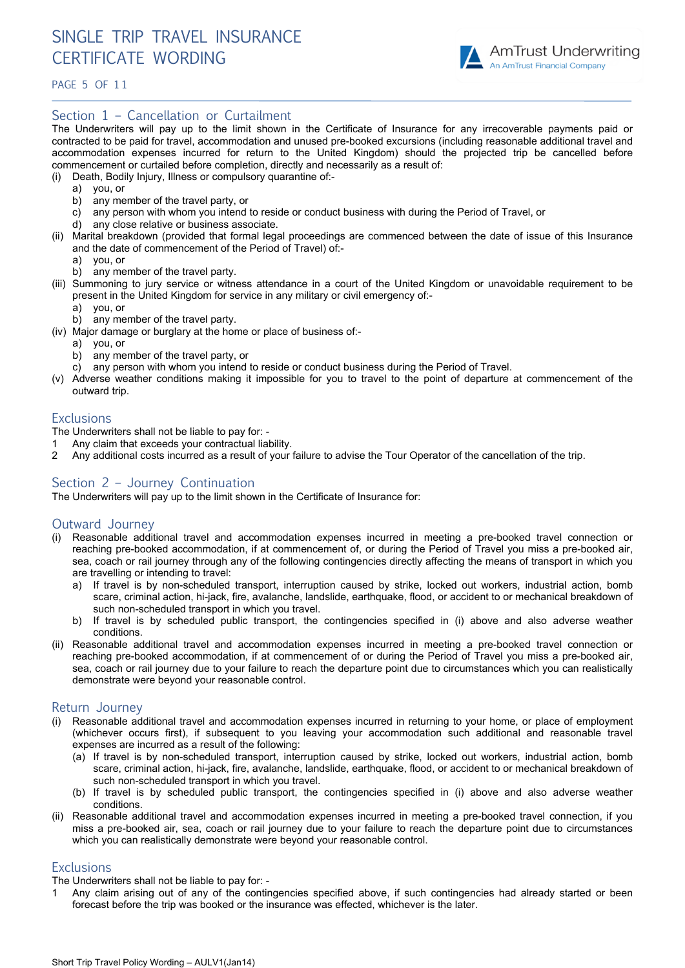

PAGE 5 OF 1 1

### Section 1 – Cancellation or Curtailment

The Underwriters will pay up to the limit shown in the Certificate of Insurance for any irrecoverable payments paid or contracted to be paid for travel, accommodation and unused pre-booked excursions (including reasonable additional travel and accommodation expenses incurred for return to the United Kingdom) should the projected trip be cancelled before commencement or curtailed before completion, directly and necessarily as a result of:

- (i) Death, Bodily Injury, Illness or compulsory quarantine of:
	- a) you, or
	- b) any member of the travel party, or
	- c) any person with whom you intend to reside or conduct business with during the Period of Travel, or
	- any close relative or business associate.
- (ii) Marital breakdown (provided that formal legal proceedings are commenced between the date of issue of this Insurance and the date of commencement of the Period of Travel) of:
	- a) you, or
	- b) any member of the travel party.
- (iii) Summoning to jury service or witness attendance in a court of the United Kingdom or unavoidable requirement to be present in the United Kingdom for service in any military or civil emergency of:
	- a) you, or
	- b) any member of the travel party.
- (iv) Major damage or burglary at the home or place of business of:
	- a) you, or
	- b) any member of the travel party, or
	- c) any person with whom you intend to reside or conduct business during the Period of Travel.
- (v) Adverse weather conditions making it impossible for you to travel to the point of departure at commencement of the outward trip.

#### **Exclusions**

The Underwriters shall not be liable to pay for: -

- 1 Any claim that exceeds your contractual liability.
- 2 Any additional costs incurred as a result of your failure to advise the Tour Operator of the cancellation of the trip.

#### Section 2 – Journey Continuation

The Underwriters will pay up to the limit shown in the Certificate of Insurance for:

#### Outward Journey

- (i) Reasonable additional travel and accommodation expenses incurred in meeting a pre-booked travel connection or reaching pre-booked accommodation, if at commencement of, or during the Period of Travel you miss a pre-booked air, sea, coach or rail journey through any of the following contingencies directly affecting the means of transport in which you are travelling or intending to travel:
	- a) If travel is by non-scheduled transport, interruption caused by strike, locked out workers, industrial action, bomb scare, criminal action, hi-jack, fire, avalanche, landslide, earthquake, flood, or accident to or mechanical breakdown of such non-scheduled transport in which you travel.
	- b) If travel is by scheduled public transport, the contingencies specified in (i) above and also adverse weather conditions.
- (ii) Reasonable additional travel and accommodation expenses incurred in meeting a pre-booked travel connection or reaching pre-booked accommodation, if at commencement of or during the Period of Travel you miss a pre-booked air, sea, coach or rail journey due to your failure to reach the departure point due to circumstances which you can realistically demonstrate were beyond your reasonable control.

#### Return Journey

- (i) Reasonable additional travel and accommodation expenses incurred in returning to your home, or place of employment (whichever occurs first), if subsequent to you leaving your accommodation such additional and reasonable travel expenses are incurred as a result of the following:
	- (a) If travel is by non-scheduled transport, interruption caused by strike, locked out workers, industrial action, bomb scare, criminal action, hi-jack, fire, avalanche, landslide, earthquake, flood, or accident to or mechanical breakdown of such non-scheduled transport in which you travel.
	- (b) If travel is by scheduled public transport, the contingencies specified in (i) above and also adverse weather conditions.
- (ii) Reasonable additional travel and accommodation expenses incurred in meeting a pre-booked travel connection, if you miss a pre-booked air, sea, coach or rail journey due to your failure to reach the departure point due to circumstances which you can realistically demonstrate were beyond your reasonable control.

#### **Exclusions**

The Underwriters shall not be liable to pay for: -

1 Any claim arising out of any of the contingencies specified above, if such contingencies had already started or been forecast before the trip was booked or the insurance was effected, whichever is the later.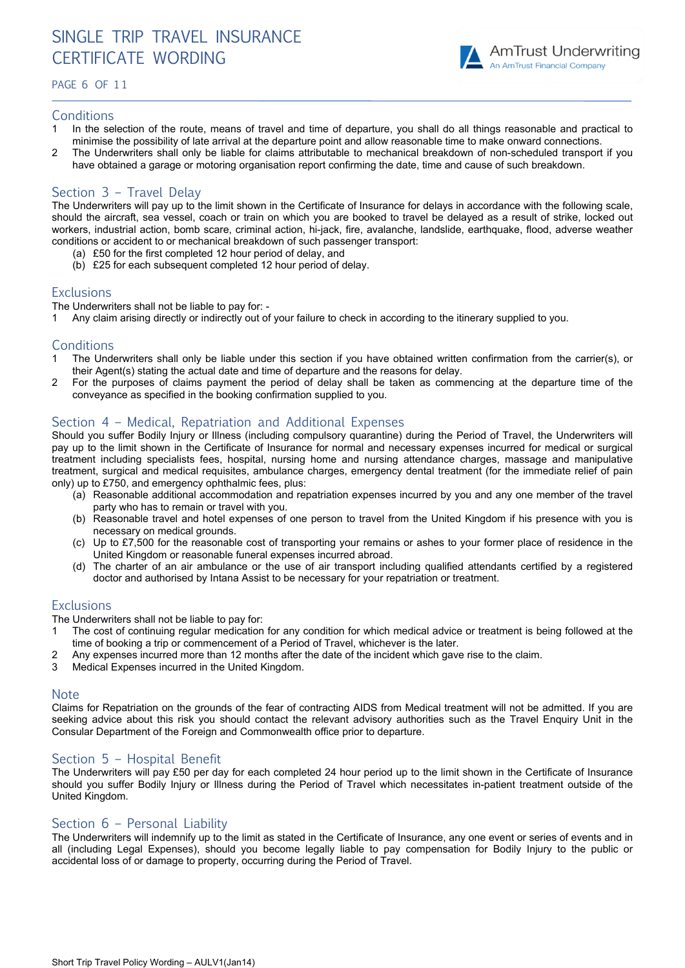# SINGLE TRIP TRAVEL INSURANCE CERTIFICATE WORDING

PAGE 6 OF 1 1



# **Conditions**

- 1 In the selection of the route, means of travel and time of departure, you shall do all things reasonable and practical to minimise the possibility of late arrival at the departure point and allow reasonable time to make onward connections.
- 2 The Underwriters shall only be liable for claims attributable to mechanical breakdown of non-scheduled transport if you have obtained a garage or motoring organisation report confirming the date, time and cause of such breakdown.

# Section 3 – Travel Delay

The Underwriters will pay up to the limit shown in the Certificate of Insurance for delays in accordance with the following scale, should the aircraft, sea vessel, coach or train on which you are booked to travel be delayed as a result of strike, locked out workers, industrial action, bomb scare, criminal action, hi-jack, fire, avalanche, landslide, earthquake, flood, adverse weather conditions or accident to or mechanical breakdown of such passenger transport:

- (a) £50 for the first completed 12 hour period of delay, and
- (b) £25 for each subsequent completed 12 hour period of delay.

# **Exclusions**

The Underwriters shall not be liable to pay for: -

1 Any claim arising directly or indirectly out of your failure to check in according to the itinerary supplied to you.

#### **Conditions**

- 1 The Underwriters shall only be liable under this section if you have obtained written confirmation from the carrier(s), or their Agent(s) stating the actual date and time of departure and the reasons for delay.
- 2 For the purposes of claims payment the period of delay shall be taken as commencing at the departure time of the conveyance as specified in the booking confirmation supplied to you.

# Section 4 – Medical, Repatriation and Additional Expenses

Should you suffer Bodily Injury or Illness (including compulsory quarantine) during the Period of Travel, the Underwriters will pay up to the limit shown in the Certificate of Insurance for normal and necessary expenses incurred for medical or surgical treatment including specialists fees, hospital, nursing home and nursing attendance charges, massage and manipulative treatment, surgical and medical requisites, ambulance charges, emergency dental treatment (for the immediate relief of pain only) up to £750, and emergency ophthalmic fees, plus:

- (a) Reasonable additional accommodation and repatriation expenses incurred by you and any one member of the travel party who has to remain or travel with you.
- (b) Reasonable travel and hotel expenses of one person to travel from the United Kingdom if his presence with you is necessary on medical grounds.
- (c) Up to £7,500 for the reasonable cost of transporting your remains or ashes to your former place of residence in the United Kingdom or reasonable funeral expenses incurred abroad.
- (d) The charter of an air ambulance or the use of air transport including qualified attendants certified by a registered doctor and authorised by Intana Assist to be necessary for your repatriation or treatment.

#### **Exclusions**

The Underwriters shall not be liable to pay for:

- 1 The cost of continuing regular medication for any condition for which medical advice or treatment is being followed at the time of booking a trip or commencement of a Period of Travel, whichever is the later.
- 2 Any expenses incurred more than 12 months after the date of the incident which gave rise to the claim.
- 3 Medical Expenses incurred in the United Kingdom.

#### Note

Claims for Repatriation on the grounds of the fear of contracting AIDS from Medical treatment will not be admitted. If you are seeking advice about this risk you should contact the relevant advisory authorities such as the Travel Enquiry Unit in the Consular Department of the Foreign and Commonwealth office prior to departure.

# Section 5 – Hospital Benefit

The Underwriters will pay £50 per day for each completed 24 hour period up to the limit shown in the Certificate of Insurance should you suffer Bodily Injury or Illness during the Period of Travel which necessitates in-patient treatment outside of the United Kingdom.

# Section 6 – Personal Liability

The Underwriters will indemnify up to the limit as stated in the Certificate of Insurance, any one event or series of events and in all (including Legal Expenses), should you become legally liable to pay compensation for Bodily Injury to the public or accidental loss of or damage to property, occurring during the Period of Travel.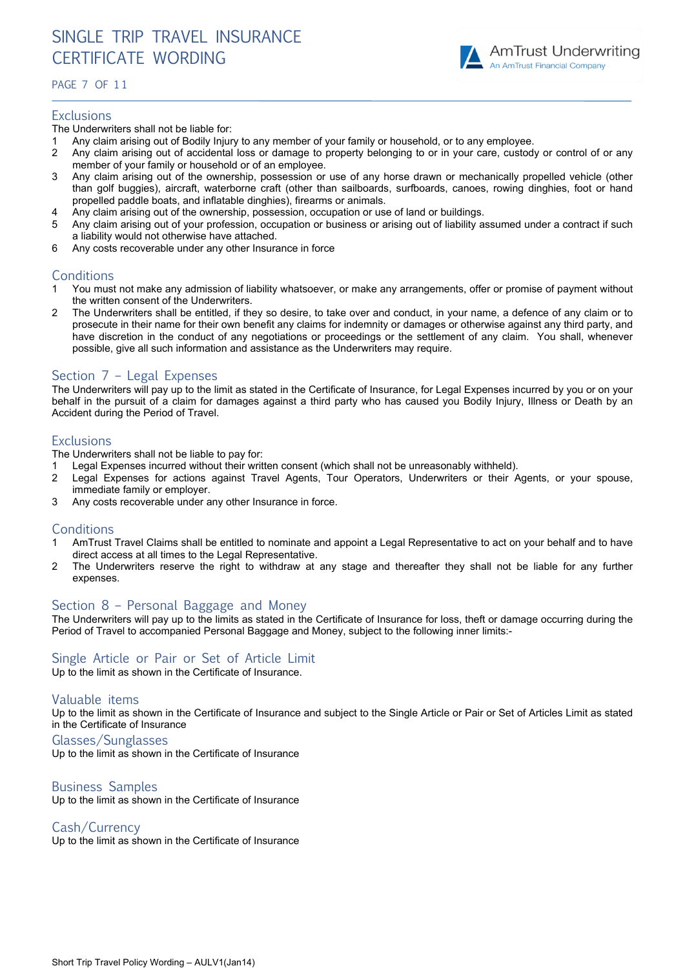

#### PAGE 7 OF 1 1

#### **Exclusions**

The Underwriters shall not be liable for:

- Any claim arising out of Bodily Injury to any member of your family or household, or to any employee.
- 2 Any claim arising out of accidental loss or damage to property belonging to or in your care, custody or control of or any member of your family or household or of an employee.
- 3 Any claim arising out of the ownership, possession or use of any horse drawn or mechanically propelled vehicle (other than golf buggies), aircraft, waterborne craft (other than sailboards, surfboards, canoes, rowing dinghies, foot or hand propelled paddle boats, and inflatable dinghies), firearms or animals.
- 4 Any claim arising out of the ownership, possession, occupation or use of land or buildings.
- 5 Any claim arising out of your profession, occupation or business or arising out of liability assumed under a contract if such a liability would not otherwise have attached.
- 6 Any costs recoverable under any other Insurance in force

# **Conditions**

- 1 You must not make any admission of liability whatsoever, or make any arrangements, offer or promise of payment without the written consent of the Underwriters.
- 2 The Underwriters shall be entitled, if they so desire, to take over and conduct, in your name, a defence of any claim or to prosecute in their name for their own benefit any claims for indemnity or damages or otherwise against any third party, and have discretion in the conduct of any negotiations or proceedings or the settlement of any claim. You shall, whenever possible, give all such information and assistance as the Underwriters may require.

# Section 7 – Legal Expenses

The Underwriters will pay up to the limit as stated in the Certificate of Insurance, for Legal Expenses incurred by you or on your behalf in the pursuit of a claim for damages against a third party who has caused you Bodily Injury, Illness or Death by an Accident during the Period of Travel.

#### **Exclusions**

The Underwriters shall not be liable to pay for:

- 1 Legal Expenses incurred without their written consent (which shall not be unreasonably withheld).
- 2 Legal Expenses for actions against Travel Agents, Tour Operators, Underwriters or their Agents, or your spouse, immediate family or employer.
- 3 Any costs recoverable under any other Insurance in force.

#### **Conditions**

- 1 AmTrust Travel Claims shall be entitled to nominate and appoint a Legal Representative to act on your behalf and to have direct access at all times to the Legal Representative.
- 2 The Underwriters reserve the right to withdraw at any stage and thereafter they shall not be liable for any further expenses.

#### Section 8 – Personal Baggage and Money

The Underwriters will pay up to the limits as stated in the Certificate of Insurance for loss, theft or damage occurring during the Period of Travel to accompanied Personal Baggage and Money, subject to the following inner limits:-

# Single Article or Pair or Set of Article Limit

Up to the limit as shown in the Certificate of Insurance.

#### Valuable items

Up to the limit as shown in the Certificate of Insurance and subject to the Single Article or Pair or Set of Articles Limit as stated in the Certificate of Insurance

Glasses/Sunglasses

Up to the limit as shown in the Certificate of Insurance

#### Business Samples

Up to the limit as shown in the Certificate of Insurance

Cash/Currency

Up to the limit as shown in the Certificate of Insurance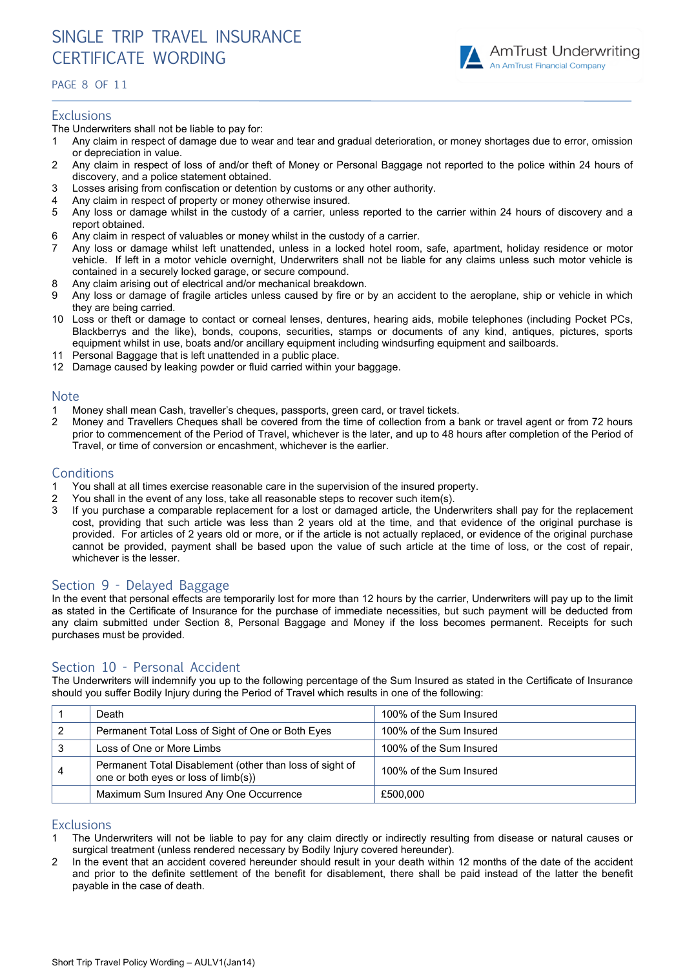

### PAGE 8 OF 11

#### **Exclusions**

The Underwriters shall not be liable to pay for:

- 1 Any claim in respect of damage due to wear and tear and gradual deterioration, or money shortages due to error, omission or depreciation in value.
- 2 Any claim in respect of loss of and/or theft of Money or Personal Baggage not reported to the police within 24 hours of discovery, and a police statement obtained.
- 3 Losses arising from confiscation or detention by customs or any other authority.
- 4 Any claim in respect of property or money otherwise insured.
- 5 Any loss or damage whilst in the custody of a carrier, unless reported to the carrier within 24 hours of discovery and a report obtained.
- 6 Any claim in respect of valuables or money whilst in the custody of a carrier.
- 7 Any loss or damage whilst left unattended, unless in a locked hotel room, safe, apartment, holiday residence or motor vehicle. If left in a motor vehicle overnight, Underwriters shall not be liable for any claims unless such motor vehicle is contained in a securely locked garage, or secure compound.
- 8 Any claim arising out of electrical and/or mechanical breakdown.
- 9 Any loss or damage of fragile articles unless caused by fire or by an accident to the aeroplane, ship or vehicle in which they are being carried.
- 10 Loss or theft or damage to contact or corneal lenses, dentures, hearing aids, mobile telephones (including Pocket PCs, Blackberrys and the like), bonds, coupons, securities, stamps or documents of any kind, antiques, pictures, sports equipment whilst in use, boats and/or ancillary equipment including windsurfing equipment and sailboards.
- Personal Baggage that is left unattended in a public place.
- 12 Damage caused by leaking powder or fluid carried within your baggage.

# **Note**

- 1 Money shall mean Cash, traveller's cheques, passports, green card, or travel tickets.
- 2 Money and Travellers Cheques shall be covered from the time of collection from a bank or travel agent or from 72 hours prior to commencement of the Period of Travel, whichever is the later, and up to 48 hours after completion of the Period of .<br>Travel, or time of conversion or encashment, whichever is the earlier.

# **Conditions**

- 1 You shall at all times exercise reasonable care in the supervision of the insured property.
- 2 You shall in the event of any loss, take all reasonable steps to recover such item(s).
- 3 If you purchase a comparable replacement for a lost or damaged article, the Underwriters shall pay for the replacement cost, providing that such article was less than 2 years old at the time, and that evidence of the original purchase is provided. For articles of 2 years old or more, or if the article is not actually replaced, or evidence of the original purchase cannot be provided, payment shall be based upon the value of such article at the time of loss, or the cost of repair, whichever is the lesser.

# Section 9 - Delayed Baggage

In the event that personal effects are temporarily lost for more than 12 hours by the carrier, Underwriters will pay up to the limit as stated in the Certificate of Insurance for the purchase of immediate necessities, but such payment will be deducted from any claim submitted under Section 8, Personal Baggage and Money if the loss becomes permanent. Receipts for such purchases must be provided.

# Section 10 - Personal Accident

The Underwriters will indemnify you up to the following percentage of the Sum Insured as stated in the Certificate of Insurance should you suffer Bodily Injury during the Period of Travel which results in one of the following:

|   | Death                                                                                            | 100% of the Sum Insured |
|---|--------------------------------------------------------------------------------------------------|-------------------------|
|   | Permanent Total Loss of Sight of One or Both Eyes                                                | 100% of the Sum Insured |
|   | Loss of One or More Limbs                                                                        | 100% of the Sum Insured |
| 4 | Permanent Total Disablement (other than loss of sight of<br>one or both eyes or loss of limb(s)) | 100% of the Sum Insured |
|   | Maximum Sum Insured Any One Occurrence                                                           | £500.000                |

# **Exclusions**

- 1 The Underwriters will not be liable to pay for any claim directly or indirectly resulting from disease or natural causes or surgical treatment (unless rendered necessary by Bodily Injury covered hereunder).
- 2 In the event that an accident covered hereunder should result in your death within 12 months of the date of the accident and prior to the definite settlement of the benefit for disablement, there shall be paid instead of the latter the benefit payable in the case of death.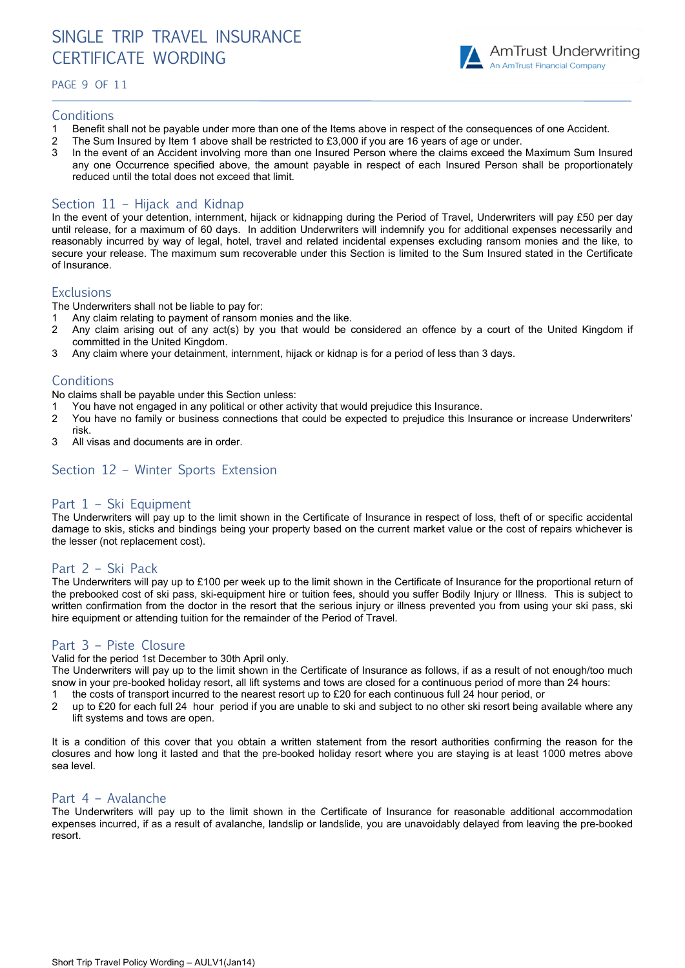# SINGLE TRIP TRAVEL INSURANCE CERTIFICATE WORDING

PAGE 9 OF 11



#### **Conditions**

- 1 Benefit shall not be payable under more than one of the Items above in respect of the consequences of one Accident.
- 2 The Sum Insured by Item 1 above shall be restricted to £3,000 if you are 16 years of age or under.
- 3 In the event of an Accident involving more than one Insured Person where the claims exceed the Maximum Sum Insured any one Occurrence specified above, the amount payable in respect of each Insured Person shall be proportionately reduced until the total does not exceed that limit.

# Section 11 – Hijack and Kidnap

In the event of your detention, internment, hijack or kidnapping during the Period of Travel, Underwriters will pay £50 per day until release, for a maximum of 60 days. In addition Underwriters will indemnify you for additional expenses necessarily and reasonably incurred by way of legal, hotel, travel and related incidental expenses excluding ransom monies and the like, to secure your release. The maximum sum recoverable under this Section is limited to the Sum Insured stated in the Certificate of Insurance.

# **Exclusions**

The Underwriters shall not be liable to pay for:

- 1 Any claim relating to payment of ransom monies and the like.
- 2 Any claim arising out of any act(s) by you that would be considered an offence by a court of the United Kingdom if committed in the United Kingdom.
- 3 Any claim where your detainment, internment, hijack or kidnap is for a period of less than 3 days.

# **Conditions**

No claims shall be payable under this Section unless:

- 1 You have not engaged in any political or other activity that would prejudice this Insurance.
- 2 You have no family or business connections that could be expected to prejudice this Insurance or increase Underwriters' risk.
- 3 All visas and documents are in order.

# Section 12 – Winter Sports Extension

# Part 1 – Ski Equipment

The Underwriters will pay up to the limit shown in the Certificate of Insurance in respect of loss, theft of or specific accidental damage to skis, sticks and bindings being your property based on the current market value or the cost of repairs whichever is the lesser (not replacement cost).

# Part 2 – Ski Pack

The Underwriters will pay up to £100 per week up to the limit shown in the Certificate of Insurance for the proportional return of the prebooked cost of ski pass, ski-equipment hire or tuition fees, should you suffer Bodily Injury or Illness. This is subject to written confirmation from the doctor in the resort that the serious injury or illness prevented you from using your ski pass, ski hire equipment or attending tuition for the remainder of the Period of Travel.

# Part 3 – Piste Closure

Valid for the period 1st December to 30th April only.

The Underwriters will pay up to the limit shown in the Certificate of Insurance as follows, if as a result of not enough/too much snow in your pre-booked holiday resort, all lift systems and tows are closed for a continuous period of more than 24 hours:

- 1 the costs of transport incurred to the nearest resort up to £20 for each continuous full 24 hour period, or
- 2 up to £20 for each full 24 hour period if you are unable to ski and subject to no other ski resort being available where any lift systems and tows are open.

It is a condition of this cover that you obtain a written statement from the resort authorities confirming the reason for the closures and how long it lasted and that the pre-booked holiday resort where you are staying is at least 1000 metres above sea level.

# Part 4 – Avalanche

The Underwriters will pay up to the limit shown in the Certificate of Insurance for reasonable additional accommodation expenses incurred, if as a result of avalanche, landslip or landslide, you are unavoidably delayed from leaving the pre-booked resort.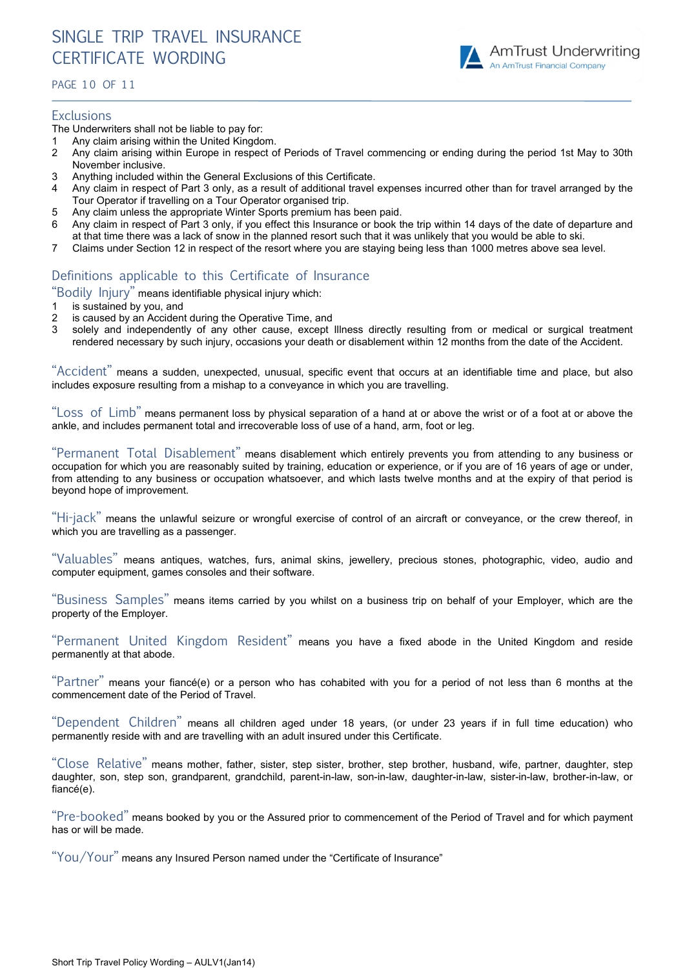

#### PAGE 1 0 OF 1 1

#### **Exclusions**

The Underwriters shall not be liable to pay for:

- 1 Any claim arising within the United Kingdom.
- 2 Any claim arising within Europe in respect of Periods of Travel commencing or ending during the period 1st May to 30th November inclusive.
- 3 Anything included within the General Exclusions of this Certificate.
- 4 Any claim in respect of Part 3 only, as a result of additional travel expenses incurred other than for travel arranged by the Tour Operator if travelling on a Tour Operator organised trip.
- 5 Any claim unless the appropriate Winter Sports premium has been paid.
- 6 Any claim in respect of Part 3 only, if you effect this Insurance or book the trip within 14 days of the date of departure and at that time there was a lack of snow in the planned resort such that it was unlikely that you would be able to ski.
- 7 Claims under Section 12 in respect of the resort where you are staying being less than 1000 metres above sea level.

# Definitions applicable to this Certificate of Insurance

"Bodily Injury" means identifiable physical injury which:

- 1 is sustained by you, and
- 2 is caused by an Accident during the Operative Time, and
- 3 solely and independently of any other cause, except Illness directly resulting from or medical or surgical treatment rendered necessary by such injury, occasions your death or disablement within 12 months from the date of the Accident.

"Accident" means a sudden, unexpected, unusual, specific event that occurs at an identifiable time and place, but also includes exposure resulting from a mishap to a conveyance in which you are travelling.

"Loss of Limb" means permanent loss by physical separation of a hand at or above the wrist or of a foot at or above the ankle, and includes permanent total and irrecoverable loss of use of a hand, arm, foot or leg.

"Permanent Total Disablement" means disablement which entirely prevents you from attending to any business or occupation for which you are reasonably suited by training, education or experience, or if you are of 16 years of age or under, from attending to any business or occupation whatsoever, and which lasts twelve months and at the expiry of that period is beyond hope of improvement.

"Hi-jack" means the unlawful seizure or wrongful exercise of control of an aircraft or conveyance, or the crew thereof, in which you are travelling as a passenger.

"Valuables" means antiques, watches, furs, animal skins, jewellery, precious stones, photographic, video, audio and computer equipment, games consoles and their software.

"Business Samples" means items carried by you whilst on a business trip on behalf of your Employer, which are the property of the Employer.

"Permanent United Kingdom Resident" means you have a fixed abode in the United Kingdom and reside permanently at that abode.

"Partner" means your fiancé(e) or a person who has cohabited with you for a period of not less than 6 months at the commencement date of the Period of Travel.

"Dependent Children" means all children aged under 18 years, (or under 23 years if in full time education) who permanently reside with and are travelling with an adult insured under this Certificate.

"Close Relative" means mother, father, sister, step sister, brother, step brother, husband, wife, partner, daughter, step daughter, son, step son, grandparent, grandchild, parent-in-law, son-in-law, daughter-in-law, sister-in-law, brother-in-law, or fiancé(e).

"Pre-booked" means booked by you or the Assured prior to commencement of the Period of Travel and for which payment has or will be made.

"You/Your" means any Insured Person named under the "Certificate of Insurance"